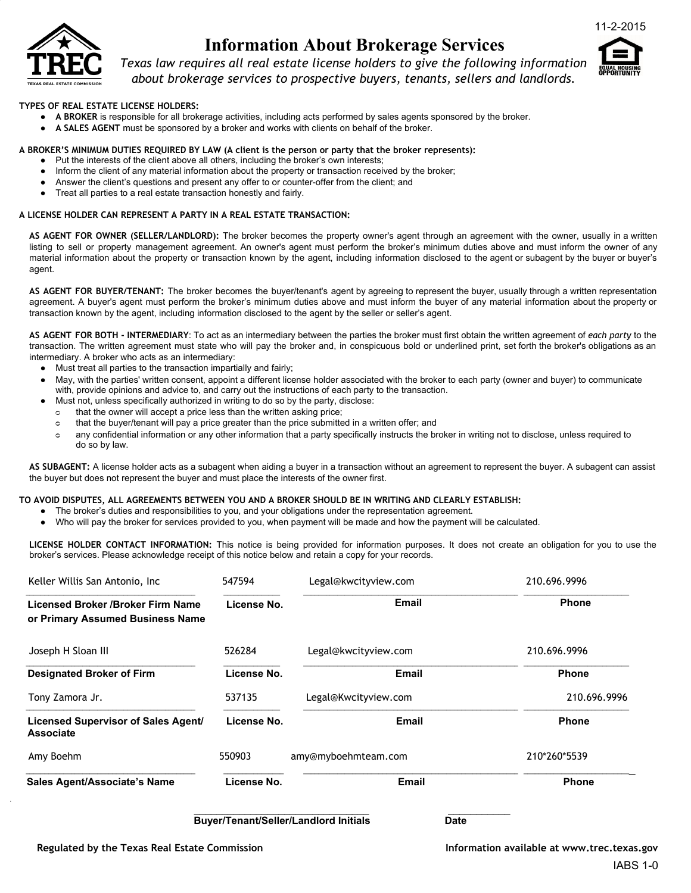



*Texas law requires all real estate license holders to give the following information about brokerage services to prospective buyers, tenants, sellers and landlords.*

## **TYPES OF REAL ESTATE LICENSE HOLDERS:**

- **A** BROKER is responsible for all brokerage activities, including acts performed by sales agents sponsored by the broker.
- **A SALES AGENT** must be sponsored by a broker and works with clients on behalf of the broker.

# A BROKER'S MINIMUM DUTIES REQUIRED BY LAW (A client is the person or party that the broker represents):

- Put the interests of the client above all others, including the broker's own interests;
- Inform the client of any material information about the property or transaction received by the broker;
- Answer the client's questions and present any offer to or counter-offer from the client; and
- Treat all parties to a real estate transaction honestly and fairly.

### **A LICENSE HOLDER CAN REPRESENT A PARTY IN A REAL ESTATE TRANSACTION:**

**AS AGENT FOR OWNER (SELLER/LANDLORD):** The broker becomes the property owner's agent through an agreement with the owner, usually in a written listing to sell or property management agreement. An owner's agent must perform the broker's minimum duties above and must inform the owner of any material information about the property or transaction known by the agent, including information disclosed to the agent or subagent by the buyer or buyer's agent.

**AS AGENT FOR BUYER/TENANT:** The broker becomes the buyer/tenant's agent by agreeing to represent the buyer, usually through a written representation agreement. A buyer's agent must perform the broker's minimum duties above and must inform the buyer of any material information about the property or transaction known by the agent, including information disclosed to the agent by the seller or seller's agent.

**AS AGENT FOR BOTH - INTERMEDIARY**: To act as an intermediary between the parties the broker must first obtain the written agreement of *each party* to the transaction. The written agreement must state who will pay the broker and, in conspicuous bold or underlined print, set forth the broker's obligations as an intermediary. A broker who acts as an intermediary:

- Must treat all parties to the transaction impartially and fairly;
- May, with the parties' written consent, appoint a different license holder associated with the broker to each party (owner and buyer) to communicate with, provide opinions and advice to, and carry out the instructions of each party to the transaction.
- Must not, unless specifically authorized in writing to do so by the party, disclose:
- ᴑ that the owner will accept a price less than the written asking price;
- ᴑ that the buyer/tenant will pay a price greater than the price submitted in a written offer; and
- ᴑ any confidential information or any other information that a party specifically instructs the broker in writing not to disclose, unless required to do so by law.

**AS SUBAGENT:** A license holder acts as a subagent when aiding a buyer in a transaction without an agreement to represent the buyer. A subagent can assist the buyer but does not represent the buyer and must place the interests of the owner first.

### **TO AVOID DISPUTES, ALL AGREEMENTS BETWEEN YOU AND A BROKER SHOULD BE IN WRITING AND CLEARLY ESTABLISH:**

- The broker's duties and responsibilities to you, and your obligations under the representation agreement.
- Who will pay the broker for services provided to you, when payment will be made and how the payment will be calculated.

**LICENSE HOLDER CONTACT INFORMATION:** This notice is being provided for information purposes. It does not create an obligation for you to use the broker's services. Please acknowledge receipt of this notice below and retain a copy for your records.

| Keller Willis San Antonio, Inc                                               | 547594      | Legal@kwcityview.com | 210.696.9996 |
|------------------------------------------------------------------------------|-------------|----------------------|--------------|
| <b>Licensed Broker /Broker Firm Name</b><br>or Primary Assumed Business Name | License No. | <b>Email</b>         | <b>Phone</b> |
| Joseph H Sloan III                                                           | 526284      | Legal@kwcityview.com | 210.696.9996 |
| <b>Designated Broker of Firm</b>                                             | License No. | <b>Email</b>         | <b>Phone</b> |
| Tony Zamora Jr.                                                              | 537135      | Legal@Kwcityview.com | 210.696.9996 |
| Licensed Supervisor of Sales Agent/<br><b>Associate</b>                      | License No. | <b>Email</b>         | <b>Phone</b> |
| Amy Boehm                                                                    | 550903      | amy@myboehmteam.com  | 210*260*5539 |
| Sales Agent/Associate's Name                                                 | License No. | <b>Email</b>         | <b>Phone</b> |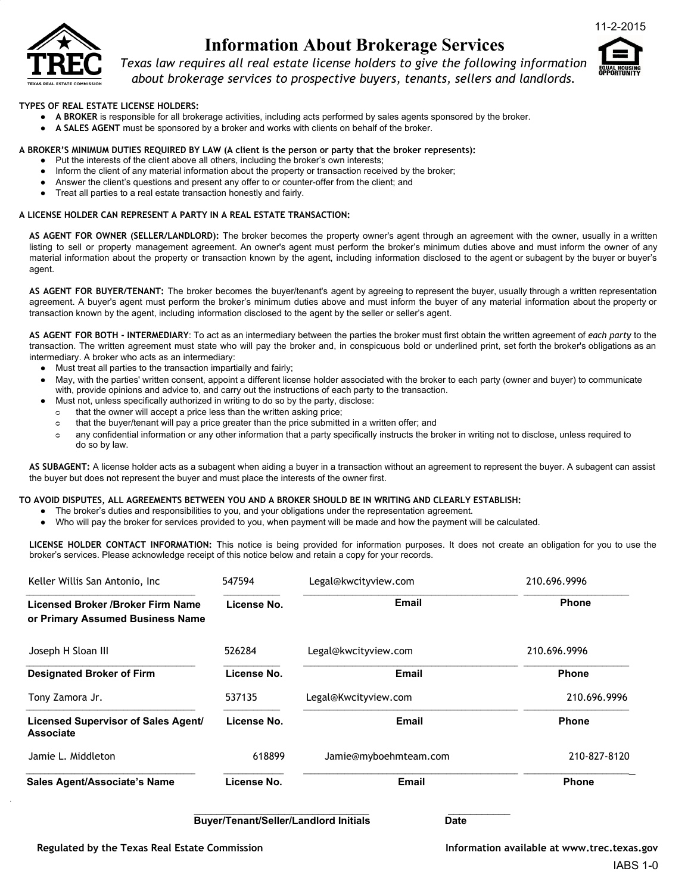



*Texas law requires all real estate license holders to give the following information about brokerage services to prospective buyers, tenants, sellers and landlords.*

## **TYPES OF REAL ESTATE LICENSE HOLDERS:**

- **A** BROKER is responsible for all brokerage activities, including acts performed by sales agents sponsored by the broker.
- A SALES AGENT must be sponsored by a broker and works with clients on behalf of the broker.

# A BROKER'S MINIMUM DUTIES REQUIRED BY LAW (A client is the person or party that the broker represents):

- Put the interests of the client above all others, including the broker's own interests;
- Inform the client of any material information about the property or transaction received by the broker;
- Answer the client's questions and present any offer to or counter-offer from the client; and
- Treat all parties to a real estate transaction honestly and fairly.

### **A LICENSE HOLDER CAN REPRESENT A PARTY IN A REAL ESTATE TRANSACTION:**

**AS AGENT FOR OWNER (SELLER/LANDLORD):** The broker becomes the property owner's agent through an agreement with the owner, usually in a written listing to sell or property management agreement. An owner's agent must perform the broker's minimum duties above and must inform the owner of any material information about the property or transaction known by the agent, including information disclosed to the agent or subagent by the buyer or buyer's agent.

**AS AGENT FOR BUYER/TENANT:** The broker becomes the buyer/tenant's agent by agreeing to represent the buyer, usually through a written representation agreement. A buyer's agent must perform the broker's minimum duties above and must inform the buyer of any material information about the property or transaction known by the agent, including information disclosed to the agent by the seller or seller's agent.

**AS AGENT FOR BOTH - INTERMEDIARY**: To act as an intermediary between the parties the broker must first obtain the written agreement of *each party* to the transaction. The written agreement must state who will pay the broker and, in conspicuous bold or underlined print, set forth the broker's obligations as an intermediary. A broker who acts as an intermediary:

- Must treat all parties to the transaction impartially and fairly;
- May, with the parties' written consent, appoint a different license holder associated with the broker to each party (owner and buyer) to communicate with, provide opinions and advice to, and carry out the instructions of each party to the transaction.
- Must not, unless specifically authorized in writing to do so by the party, disclose:
- ᴑ that the owner will accept a price less than the written asking price;
- ᴑ that the buyer/tenant will pay a price greater than the price submitted in a written offer; and
- ᴑ any confidential information or any other information that a party specifically instructs the broker in writing not to disclose, unless required to do so by law.

**AS SUBAGENT:** A license holder acts as a subagent when aiding a buyer in a transaction without an agreement to represent the buyer. A subagent can assist the buyer but does not represent the buyer and must place the interests of the owner first.

### **TO AVOID DISPUTES, ALL AGREEMENTS BETWEEN YOU AND A BROKER SHOULD BE IN WRITING AND CLEARLY ESTABLISH:**

- The broker's duties and responsibilities to you, and your obligations under the representation agreement.
- Who will pay the broker for services provided to you, when payment will be made and how the payment will be calculated.

**LICENSE HOLDER CONTACT INFORMATION:** This notice is being provided for information purposes. It does not create an obligation for you to use the broker's services. Please acknowledge receipt of this notice below and retain a copy for your records.

| Keller Willis San Antonio, Inc                                        | 547594      | Legal@kwcityview.com  | 210.696.9996 |
|-----------------------------------------------------------------------|-------------|-----------------------|--------------|
| Licensed Broker /Broker Firm Name<br>or Primary Assumed Business Name | License No. | Email                 | <b>Phone</b> |
| Joseph H Sloan III                                                    | 526284      | Legal@kwcityview.com  | 210.696.9996 |
| <b>Designated Broker of Firm</b>                                      | License No. | <b>Email</b>          | <b>Phone</b> |
| Tony Zamora Jr.                                                       | 537135      | Legal@Kwcityview.com  | 210.696.9996 |
| Licensed Supervisor of Sales Agent/<br><b>Associate</b>               | License No. | <b>Email</b>          | <b>Phone</b> |
| Jamie L. Middleton                                                    | 618899      | Jamie@myboehmteam.com | 210-827-8120 |
| Sales Agent/Associate's Name                                          | License No. | <b>Email</b>          | <b>Phone</b> |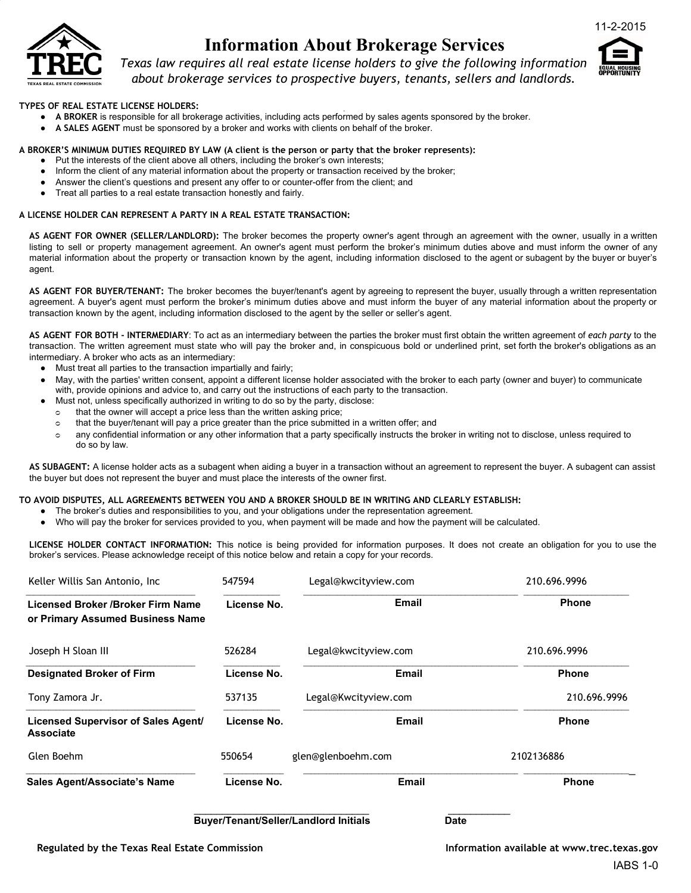



*Texas law requires all real estate license holders to give the following information about brokerage services to prospective buyers, tenants, sellers and landlords.*

## **TYPES OF REAL ESTATE LICENSE HOLDERS:**

- **A** BROKER is responsible for all brokerage activities, including acts performed by sales agents sponsored by the broker.
- **A SALES AGENT** must be sponsored by a broker and works with clients on behalf of the broker.

# A BROKER'S MINIMUM DUTIES REQUIRED BY LAW (A client is the person or party that the broker represents):

- Put the interests of the client above all others, including the broker's own interests;
- Inform the client of any material information about the property or transaction received by the broker;
- Answer the client's questions and present any offer to or counter-offer from the client; and
- Treat all parties to a real estate transaction honestly and fairly.

### **A LICENSE HOLDER CAN REPRESENT A PARTY IN A REAL ESTATE TRANSACTION:**

**AS AGENT FOR OWNER (SELLER/LANDLORD):** The broker becomes the property owner's agent through an agreement with the owner, usually in a written listing to sell or property management agreement. An owner's agent must perform the broker's minimum duties above and must inform the owner of any material information about the property or transaction known by the agent, including information disclosed to the agent or subagent by the buyer or buyer's agent.

**AS AGENT FOR BUYER/TENANT:** The broker becomes the buyer/tenant's agent by agreeing to represent the buyer, usually through a written representation agreement. A buyer's agent must perform the broker's minimum duties above and must inform the buyer of any material information about the property or transaction known by the agent, including information disclosed to the agent by the seller or seller's agent.

**AS AGENT FOR BOTH - INTERMEDIARY**: To act as an intermediary between the parties the broker must first obtain the written agreement of *each party* to the transaction. The written agreement must state who will pay the broker and, in conspicuous bold or underlined print, set forth the broker's obligations as an intermediary. A broker who acts as an intermediary:

- Must treat all parties to the transaction impartially and fairly;
- May, with the parties' written consent, appoint a different license holder associated with the broker to each party (owner and buyer) to communicate with, provide opinions and advice to, and carry out the instructions of each party to the transaction.
- Must not, unless specifically authorized in writing to do so by the party, disclose:
- ᴑ that the owner will accept a price less than the written asking price;
- ᴑ that the buyer/tenant will pay a price greater than the price submitted in a written offer; and
- ᴑ any confidential information or any other information that a party specifically instructs the broker in writing not to disclose, unless required to do so by law.

**AS SUBAGENT:** A license holder acts as a subagent when aiding a buyer in a transaction without an agreement to represent the buyer. A subagent can assist the buyer but does not represent the buyer and must place the interests of the owner first.

### **TO AVOID DISPUTES, ALL AGREEMENTS BETWEEN YOU AND A BROKER SHOULD BE IN WRITING AND CLEARLY ESTABLISH:**

- The broker's duties and responsibilities to you, and your obligations under the representation agreement.
- Who will pay the broker for services provided to you, when payment will be made and how the payment will be calculated.

**LICENSE HOLDER CONTACT INFORMATION:** This notice is being provided for information purposes. It does not create an obligation for you to use the broker's services. Please acknowledge receipt of this notice below and retain a copy for your records.

| 547594      | Legal@kwcityview.com | 210.696.9996 |
|-------------|----------------------|--------------|
| License No. | <b>Email</b>         | <b>Phone</b> |
| 526284      | Legal@kwcityview.com | 210.696.9996 |
| License No. | <b>Email</b>         | <b>Phone</b> |
| 537135      | Legal@Kwcityview.com | 210.696.9996 |
| License No. | <b>Email</b>         | <b>Phone</b> |
| 550654      | glen@glenboehm.com   | 2102136886   |
| License No. | <b>Email</b>         | <b>Phone</b> |
|             |                      |              |